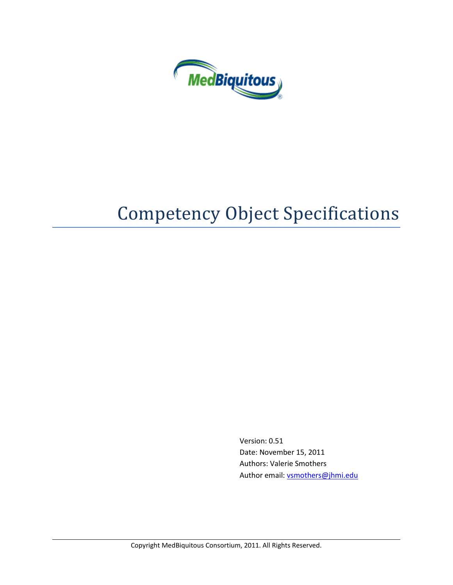

# Competency Object Specifications

Version: 0.51 Date: November 15, 2011 Authors: Valerie Smothers Author email[: vsmothers@jhmi.edu](mailto:vsmothers@jhmi.edu)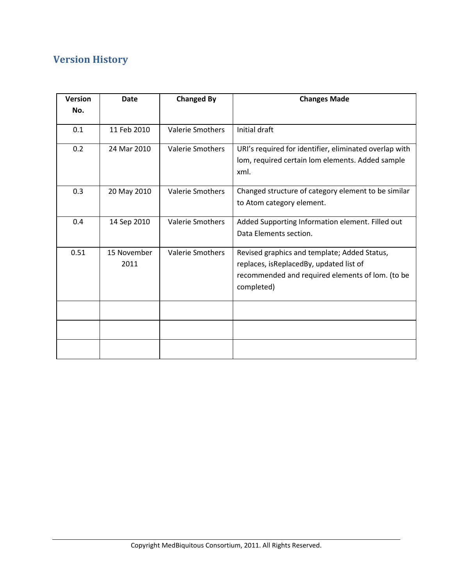## **Version History**

| <b>Version</b> | <b>Date</b>         | <b>Changed By</b>       | <b>Changes Made</b>                                                                                                                                       |
|----------------|---------------------|-------------------------|-----------------------------------------------------------------------------------------------------------------------------------------------------------|
| No.            |                     |                         |                                                                                                                                                           |
| 0.1            | 11 Feb 2010         | <b>Valerie Smothers</b> | Initial draft                                                                                                                                             |
| 0.2            | 24 Mar 2010         | <b>Valerie Smothers</b> | URI's required for identifier, eliminated overlap with<br>lom, required certain lom elements. Added sample<br>xml.                                        |
| 0.3            | 20 May 2010         | <b>Valerie Smothers</b> | Changed structure of category element to be similar<br>to Atom category element.                                                                          |
| 0.4            | 14 Sep 2010         | <b>Valerie Smothers</b> | Added Supporting Information element. Filled out<br>Data Elements section.                                                                                |
| 0.51           | 15 November<br>2011 | <b>Valerie Smothers</b> | Revised graphics and template; Added Status,<br>replaces, isReplacedBy, updated list of<br>recommended and required elements of lom. (to be<br>completed) |
|                |                     |                         |                                                                                                                                                           |
|                |                     |                         |                                                                                                                                                           |
|                |                     |                         |                                                                                                                                                           |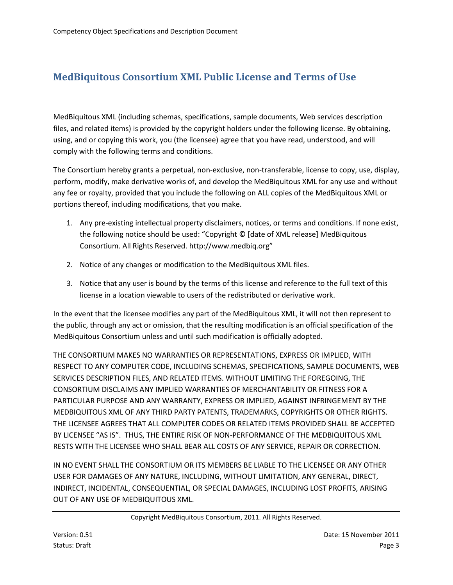## **MedBiquitous Consortium XML Public License and Terms of Use**

MedBiquitous XML (including schemas, specifications, sample documents, Web services description files, and related items) is provided by the copyright holders under the following license. By obtaining, using, and or copying this work, you (the licensee) agree that you have read, understood, and will comply with the following terms and conditions.

The Consortium hereby grants a perpetual, non-exclusive, non-transferable, license to copy, use, display, perform, modify, make derivative works of, and develop the MedBiquitous XML for any use and without any fee or royalty, provided that you include the following on ALL copies of the MedBiquitous XML or portions thereof, including modifications, that you make.

- 1. Any pre-existing intellectual property disclaimers, notices, or terms and conditions. If none exist, the following notice should be used: "Copyright © [date of XML release] MedBiquitous Consortium. All Rights Reserved. http://www.medbiq.org"
- 2. Notice of any changes or modification to the MedBiquitous XML files.
- 3. Notice that any user is bound by the terms of this license and reference to the full text of this license in a location viewable to users of the redistributed or derivative work.

In the event that the licensee modifies any part of the MedBiquitous XML, it will not then represent to the public, through any act or omission, that the resulting modification is an official specification of the MedBiquitous Consortium unless and until such modification is officially adopted.

THE CONSORTIUM MAKES NO WARRANTIES OR REPRESENTATIONS, EXPRESS OR IMPLIED, WITH RESPECT TO ANY COMPUTER CODE, INCLUDING SCHEMAS, SPECIFICATIONS, SAMPLE DOCUMENTS, WEB SERVICES DESCRIPTION FILES, AND RELATED ITEMS. WITHOUT LIMITING THE FOREGOING, THE CONSORTIUM DISCLAIMS ANY IMPLIED WARRANTIES OF MERCHANTABILITY OR FITNESS FOR A PARTICULAR PURPOSE AND ANY WARRANTY, EXPRESS OR IMPLIED, AGAINST INFRINGEMENT BY THE MEDBIQUITOUS XML OF ANY THIRD PARTY PATENTS, TRADEMARKS, COPYRIGHTS OR OTHER RIGHTS. THE LICENSEE AGREES THAT ALL COMPUTER CODES OR RELATED ITEMS PROVIDED SHALL BE ACCEPTED BY LICENSEE "AS IS". THUS, THE ENTIRE RISK OF NON-PERFORMANCE OF THE MEDBIQUITOUS XML RESTS WITH THE LICENSEE WHO SHALL BEAR ALL COSTS OF ANY SERVICE, REPAIR OR CORRECTION.

IN NO EVENT SHALL THE CONSORTIUM OR ITS MEMBERS BE LIABLE TO THE LICENSEE OR ANY OTHER USER FOR DAMAGES OF ANY NATURE, INCLUDING, WITHOUT LIMITATION, ANY GENERAL, DIRECT, INDIRECT, INCIDENTAL, CONSEQUENTIAL, OR SPECIAL DAMAGES, INCLUDING LOST PROFITS, ARISING OUT OF ANY USE OF MEDBIQUITOUS XML.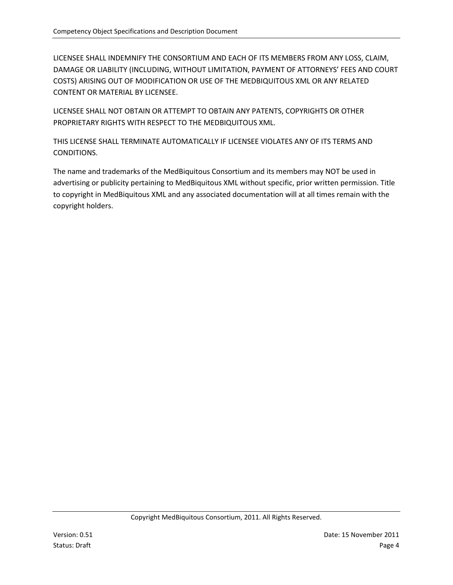LICENSEE SHALL INDEMNIFY THE CONSORTIUM AND EACH OF ITS MEMBERS FROM ANY LOSS, CLAIM, DAMAGE OR LIABILITY (INCLUDING, WITHOUT LIMITATION, PAYMENT OF ATTORNEYS' FEES AND COURT COSTS) ARISING OUT OF MODIFICATION OR USE OF THE MEDBIQUITOUS XML OR ANY RELATED CONTENT OR MATERIAL BY LICENSEE.

LICENSEE SHALL NOT OBTAIN OR ATTEMPT TO OBTAIN ANY PATENTS, COPYRIGHTS OR OTHER PROPRIETARY RIGHTS WITH RESPECT TO THE MEDBIQUITOUS XML.

THIS LICENSE SHALL TERMINATE AUTOMATICALLY IF LICENSEE VIOLATES ANY OF ITS TERMS AND CONDITIONS.

The name and trademarks of the MedBiquitous Consortium and its members may NOT be used in advertising or publicity pertaining to MedBiquitous XML without specific, prior written permission. Title to copyright in MedBiquitous XML and any associated documentation will at all times remain with the copyright holders.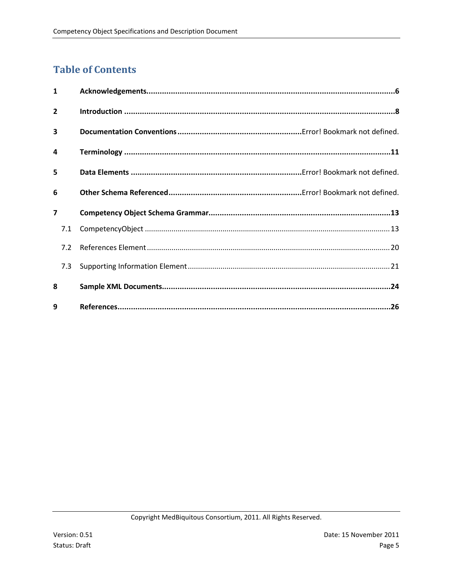## **Table of Contents**

| $\mathbf{1}$            |  |
|-------------------------|--|
| $\overline{2}$          |  |
| $\overline{\mathbf{3}}$ |  |
| 4                       |  |
| 5                       |  |
| 6                       |  |
|                         |  |
| $\overline{\mathbf{z}}$ |  |
| 7.1                     |  |
| 7.2                     |  |
| 7.3                     |  |
| 8                       |  |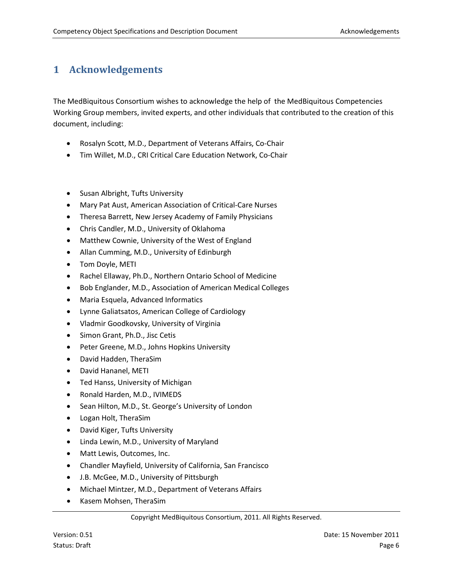## <span id="page-5-0"></span>**1 Acknowledgements**

The MedBiquitous Consortium wishes to acknowledge the help of the MedBiquitous Competencies Working Group members, invited experts, and other individuals that contributed to the creation of this document, including:

- Rosalyn Scott, M.D., Department of Veterans Affairs, Co-Chair
- Tim Willet, M.D., CRI Critical Care Education Network, Co-Chair
- Susan Albright, Tufts University
- Mary Pat Aust, American Association of Critical-Care Nurses
- Theresa Barrett, New Jersey Academy of Family Physicians
- Chris Candler, M.D., University of Oklahoma
- Matthew Cownie, University of the West of England
- Allan Cumming, M.D., University of Edinburgh
- Tom Doyle, METI
- Rachel Ellaway, Ph.D., Northern Ontario School of Medicine
- Bob Englander, M.D., Association of American Medical Colleges
- Maria Esquela, Advanced Informatics
- Lynne Galiatsatos, American College of Cardiology
- Vladmir Goodkovsky, University of Virginia
- Simon Grant, Ph.D., Jisc Cetis
- Peter Greene, M.D., Johns Hopkins University
- David Hadden, TheraSim
- David Hananel, METI
- Ted Hanss, University of Michigan
- Ronald Harden, M.D., IVIMEDS
- Sean Hilton, M.D., St. George's University of London
- Logan Holt, TheraSim
- David Kiger, Tufts University
- Linda Lewin, M.D., University of Maryland
- Matt Lewis, Outcomes, Inc.
- Chandler Mayfield, University of California, San Francisco
- J.B. McGee, M.D., University of Pittsburgh
- Michael Mintzer, M.D., Department of Veterans Affairs
- Kasem Mohsen, TheraSim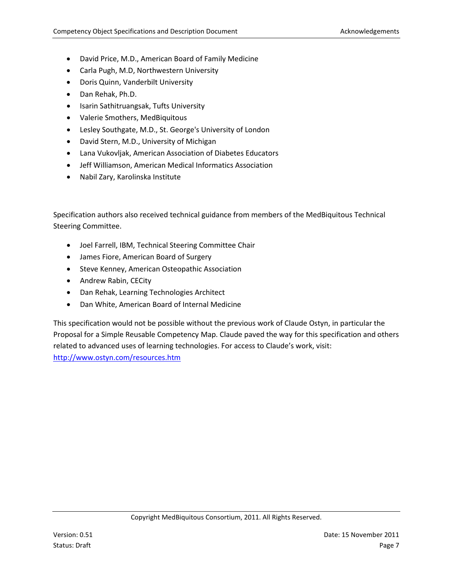- David Price, M.D., American Board of Family Medicine
- Carla Pugh, M.D, Northwestern University
- Doris Quinn, Vanderbilt University
- Dan Rehak, Ph.D.
- Isarin Sathitruangsak, Tufts University
- Valerie Smothers, MedBiquitous
- Lesley Southgate, M.D., St. George's University of London
- David Stern, M.D., University of Michigan
- Lana Vukovljak, American Association of Diabetes Educators
- Jeff Williamson, American Medical Informatics Association
- Nabil Zary, Karolinska Institute

Specification authors also received technical guidance from members of the MedBiquitous Technical Steering Committee.

- Joel Farrell, IBM, Technical Steering Committee Chair
- James Fiore, American Board of Surgery
- Steve Kenney, American Osteopathic Association
- Andrew Rabin, CECity
- Dan Rehak, Learning Technologies Architect
- Dan White, American Board of Internal Medicine

This specification would not be possible without the previous work of Claude Ostyn, in particular the Proposal for a Simple Reusable Competency Map. Claude paved the way for this specification and others related to advanced uses of learning technologies. For access to Claude's work, visit:

<http://www.ostyn.com/resources.htm>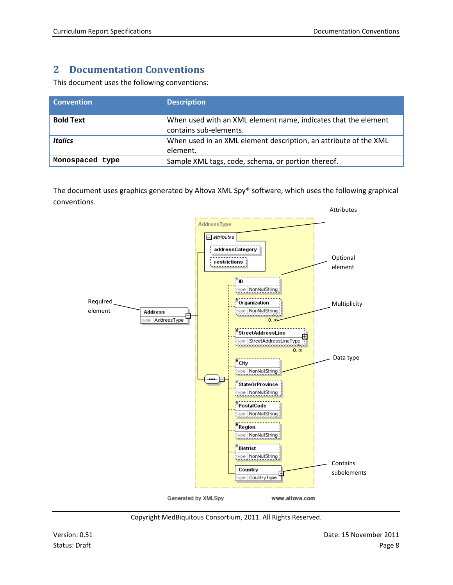## <span id="page-7-0"></span>**2 Documentation Conventions**

This document uses the following conventions:

| <b>Convention</b> | <b>Description</b>                                                                       |
|-------------------|------------------------------------------------------------------------------------------|
| <b>Bold Text</b>  | When used with an XML element name, indicates that the element<br>contains sub-elements. |
| <b>Italics</b>    | When used in an XML element description, an attribute of the XML<br>element.             |
| Monospaced type   | Sample XML tags, code, schema, or portion thereof.                                       |

The document uses graphics generated by Altova XML Spy® software, which uses the following graphical conventions.



Copyright MedBiquitous Consortium, 2011. All Rights Reserved.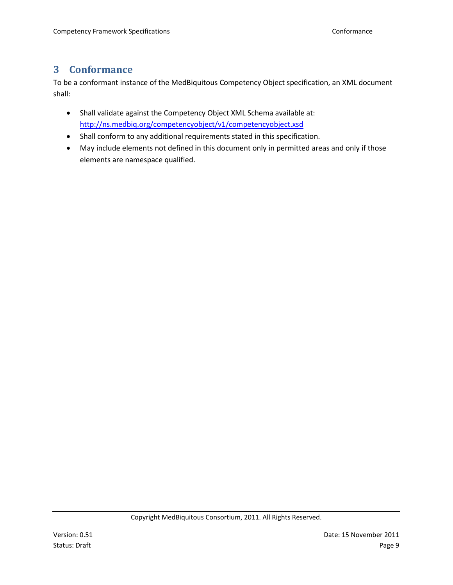#### **3 Conformance**

To be a conformant instance of the MedBiquitous Competency Object specification, an XML document shall:

- Shall validate against the Competency Object XML Schema available at: <http://ns.medbiq.org/competencyobject/v1/competencyobject.xsd>
- Shall conform to any additional requirements stated in this specification.
- May include elements not defined in this document only in permitted areas and only if those elements are namespace qualified.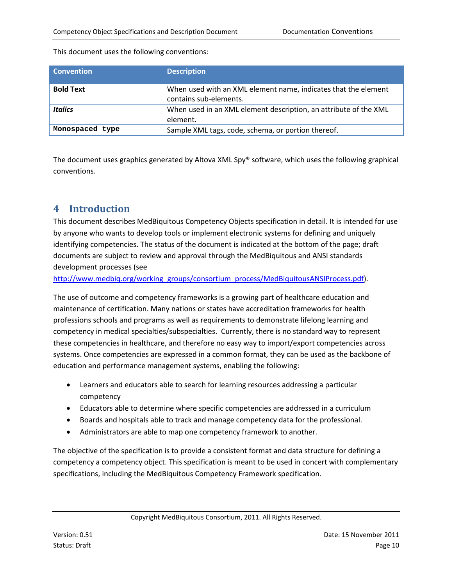| <b>Convention</b> | <b>Description</b>                                                                       |
|-------------------|------------------------------------------------------------------------------------------|
| <b>Bold Text</b>  | When used with an XML element name, indicates that the element<br>contains sub-elements. |
| <b>Italics</b>    | When used in an XML element description, an attribute of the XML<br>element.             |
| Monospaced type   | Sample XML tags, code, schema, or portion thereof.                                       |

[This document uses the following conventions:](#page-7-0)

[The document uses graphics generated by Altova XML Spy® software, which uses the following graphical](#page-7-0)  [conventions.](#page-7-0) 

#### **4 Introduction**

This document describes MedBiquitous Competency Objects specification in detail. It is intended for use by anyone who wants to develop tools or implement electronic systems for defining and uniquely identifying competencies. The status of the document is indicated at the bottom of the page; draft documents are subject to review and approval through the MedBiquitous and ANSI standards development processes (see

[http://www.medbiq.org/working\\_groups/consortium\\_process/MedBiquitousANSIProcess.pdf\)](http://www.medbiq.org/working_groups/consortium_process/MedBiquitousANSIProcess.pdf).

The use of outcome and competency frameworks is a growing part of healthcare education and maintenance of certification. Many nations or states have accreditation frameworks for health professions schools and programs as well as requirements to demonstrate lifelong learning and competency in medical specialties/subspecialties. Currently, there is no standard way to represent these competencies in healthcare, and therefore no easy way to import/export competencies across systems. Once competencies are expressed in a common format, they can be used as the backbone of education and performance management systems, enabling the following:

- Learners and educators able to search for learning resources addressing a particular competency
- Educators able to determine where specific competencies are addressed in a curriculum
- Boards and hospitals able to track and manage competency data for the professional.
- Administrators are able to map one competency framework to another.

The objective of the specification is to provide a consistent format and data structure for defining a competency a competency object. This specification is meant to be used in concert with complementary specifications, including the MedBiquitous Competency Framework specification.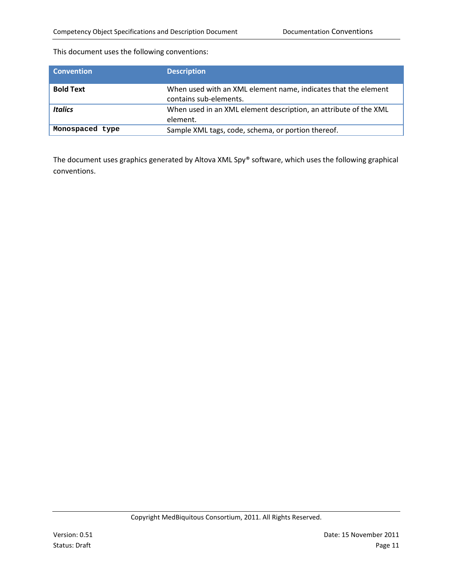[This document uses the following conventions:](#page-7-0)

| <b>Convention</b> | <b>Description</b>                                                                       |
|-------------------|------------------------------------------------------------------------------------------|
| <b>Bold Text</b>  | When used with an XML element name, indicates that the element<br>contains sub-elements. |
| <b>Italics</b>    | When used in an XML element description, an attribute of the XML<br>element.             |
| Monospaced type   | Sample XML tags, code, schema, or portion thereof.                                       |

The document uses graphics generated by Altova XML Spy® software, which uses the following graphical [conventions.](#page-7-0)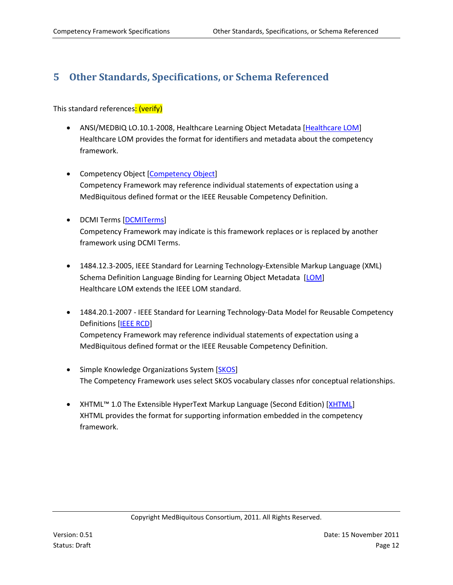## <span id="page-11-0"></span>**5 Other Standards, Specifications, or Schema Referenced**

This standard references: (verify)

- ANSI/MEDBIQ LO.10.1-2008, Healthcare Learning Object Metadata [Healthcare LOM] Healthcare LOM provides the format for identifiers and metadata about the competency framework.
- Competency Object [Competency Object] Competency Framework may reference individual statements of expectation using a MedBiquitous defined format or the IEEE Reusable Competency Definition.
- DCMI Terms [DCMITerms] Competency Framework may indicate is this framework replaces or is replaced by another framework using DCMI Terms.
- 1484.12.3-2005, IEEE Standard for Learning Technology-Extensible Markup Language (XML) Schema Definition Language Binding for Learning Object Metadata [LOM] Healthcare LOM extends the IEEE LOM standard.
- 1484.20.1-2007 IEEE Standard for Learning Technology-Data Model for Reusable Competency Definitions [IEEE RCD] Competency Framework may reference individual statements of expectation using a MedBiquitous defined format or the IEEE Reusable Competency Definition.
- Simple Knowledge Organizations System [SKOS] The Competency Framework uses select SKOS vocabulary classes nfor conceptual relationships.
- XHTML™ 1.0 The Extensible HyperText Markup Language (Second Edition) [XHTML] XHTML provides the format for supporting information embedded in the competency framework.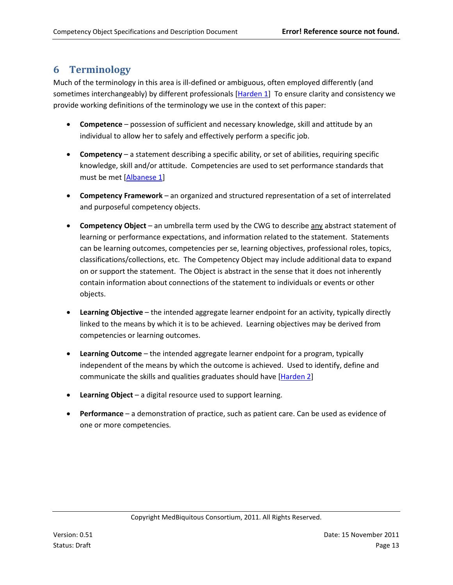#### **6 Terminology**

Much of the terminology in this area is ill-defined or ambiguous, often employed differently (and sometimes interchangeably) by different professionals [Harden 1] To ensure clarity and consistency we provide working definitions of the terminology we use in the context of this paper:

- **Competence** possession of sufficient and necessary knowledge, skill and attitude by an individual to allow her to safely and effectively perform a specific job.
- **Competency** a statement describing a specific ability, or set of abilities, requiring specific knowledge, skill and/or attitude. Competencies are used to set performance standards that must be met [Albanese 1]
- **Competency Framework** an organized and structured representation of a set of interrelated and purposeful competency objects.
- **Competency Object** an umbrella term used by the CWG to describe any abstract statement of learning or performance expectations, and information related to the statement. Statements can be learning outcomes, competencies per se, learning objectives, professional roles, topics, classifications/collections, etc. The Competency Object may include additional data to expand on or support the statement. The Object is abstract in the sense that it does not inherently contain information about connections of the statement to individuals or events or other objects.
- **Learning Objective** the intended aggregate learner endpoint for an activity, typically directly linked to the means by which it is to be achieved. Learning objectives may be derived from competencies or learning outcomes.
- **Learning Outcome** the intended aggregate learner endpoint for a program, typically independent of the means by which the outcome is achieved. Used to identify, define and communicate the skills and qualities graduates should have [Harden 2]
- **Learning Object** a digital resource used to support learning.
- **Performance**  a demonstration of practice, such as patient care. Can be used as evidence of one or more competencies.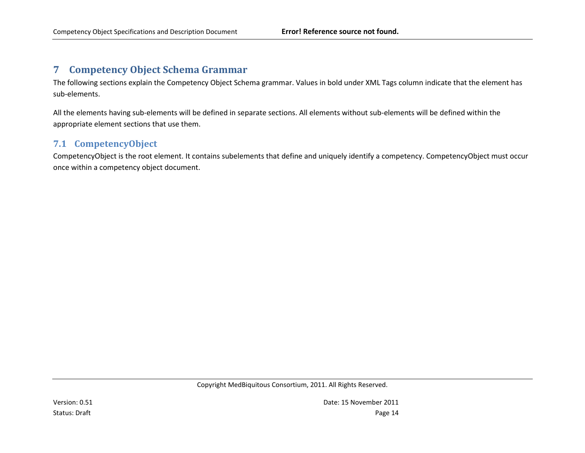#### **7 Competency Object Schema Grammar**

The following sections explain the Competency Object Schema grammar. Values in bold under XML Tags column indicate that the element has sub-elements.

All the elements having sub-elements will be defined in separate sections. All elements without sub-elements will be defined within the appropriate element sections that use them.

#### **7.1 CompetencyObject**

<span id="page-13-1"></span><span id="page-13-0"></span>CompetencyObject is the root element. It contains subelements that define and uniquely identify a competency. CompetencyObject must occur once within a competency object document.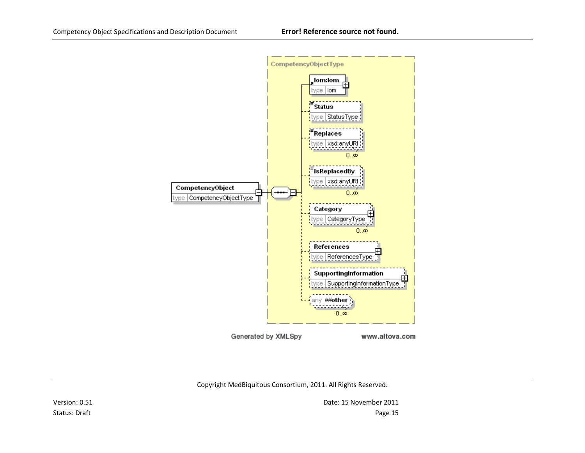

Copyright MedBiquitous Consortium, 2011. All Rights Reserved.

Version: 0.51 Date: 15 November 2011 Status: Draft Page 15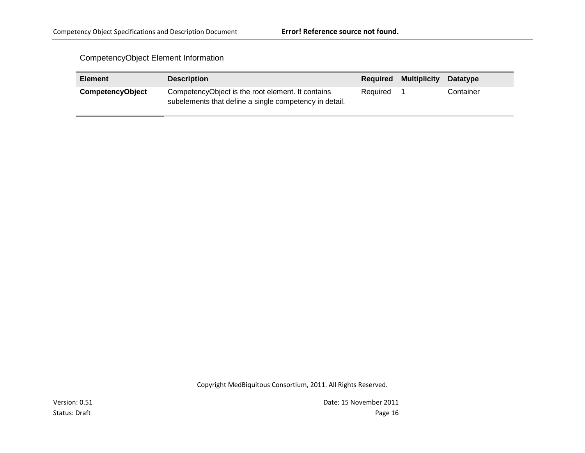#### CompetencyObject Element Information

| <b>Element</b>          | <b>Description</b>                                                                                          |          | <b>Required Multiplicity</b> | Datatype  |
|-------------------------|-------------------------------------------------------------------------------------------------------------|----------|------------------------------|-----------|
| <b>CompetencyObject</b> | CompetencyObject is the root element. It contains<br>subelements that define a single competency in detail. | Required |                              | Container |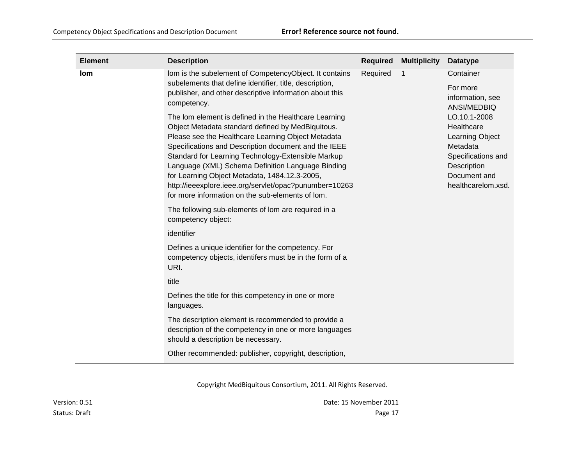| <b>Element</b> | <b>Description</b>                                                                                                                                                                                                                                                                                                                                                                                                                                                                                 | <b>Required</b> | <b>Multiplicity</b> | <b>Datatype</b>                                                                                                                      |
|----------------|----------------------------------------------------------------------------------------------------------------------------------------------------------------------------------------------------------------------------------------------------------------------------------------------------------------------------------------------------------------------------------------------------------------------------------------------------------------------------------------------------|-----------------|---------------------|--------------------------------------------------------------------------------------------------------------------------------------|
| lom            | lom is the subelement of CompetencyObject. It contains<br>subelements that define identifier, title, description,<br>publisher, and other descriptive information about this<br>competency.                                                                                                                                                                                                                                                                                                        | Required        | 1                   | Container<br>For more<br>information, see<br>ANSI/MEDBIQ                                                                             |
|                | The lom element is defined in the Healthcare Learning<br>Object Metadata standard defined by MedBiquitous.<br>Please see the Healthcare Learning Object Metadata<br>Specifications and Description document and the IEEE<br>Standard for Learning Technology-Extensible Markup<br>Language (XML) Schema Definition Language Binding<br>for Learning Object Metadata, 1484.12.3-2005,<br>http://ieeexplore.ieee.org/servlet/opac?punumber=10263<br>for more information on the sub-elements of lom. |                 |                     | LO.10.1-2008<br>Healthcare<br>Learning Object<br>Metadata<br>Specifications and<br>Description<br>Document and<br>healthcarelom.xsd. |
|                | The following sub-elements of lom are required in a<br>competency object:                                                                                                                                                                                                                                                                                                                                                                                                                          |                 |                     |                                                                                                                                      |
|                | identifier                                                                                                                                                                                                                                                                                                                                                                                                                                                                                         |                 |                     |                                                                                                                                      |
|                | Defines a unique identifier for the competency. For<br>competency objects, identifers must be in the form of a<br>URI.                                                                                                                                                                                                                                                                                                                                                                             |                 |                     |                                                                                                                                      |
|                | title                                                                                                                                                                                                                                                                                                                                                                                                                                                                                              |                 |                     |                                                                                                                                      |
|                | Defines the title for this competency in one or more<br>languages.                                                                                                                                                                                                                                                                                                                                                                                                                                 |                 |                     |                                                                                                                                      |
|                | The description element is recommended to provide a<br>description of the competency in one or more languages<br>should a description be necessary.                                                                                                                                                                                                                                                                                                                                                |                 |                     |                                                                                                                                      |
|                | Other recommended: publisher, copyright, description,                                                                                                                                                                                                                                                                                                                                                                                                                                              |                 |                     |                                                                                                                                      |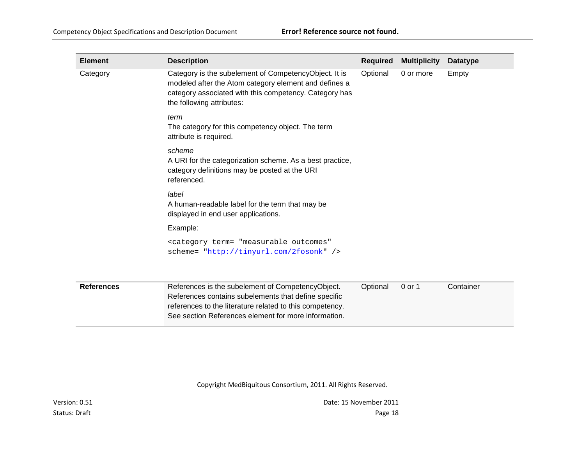| <b>Element</b>    | <b>Description</b>                                                                                                                                                                                                            | <b>Required</b> | <b>Multiplicity</b> | <b>Datatype</b> |
|-------------------|-------------------------------------------------------------------------------------------------------------------------------------------------------------------------------------------------------------------------------|-----------------|---------------------|-----------------|
| Category          | Category is the subelement of CompetencyObject. It is<br>modeled after the Atom category element and defines a<br>category associated with this competency. Category has<br>the following attributes:                         | Optional        | 0 or more           | Empty           |
|                   | term<br>The category for this competency object. The term<br>attribute is required.                                                                                                                                           |                 |                     |                 |
|                   | scheme<br>A URI for the categorization scheme. As a best practice,<br>category definitions may be posted at the URI<br>referenced.                                                                                            |                 |                     |                 |
|                   | label<br>A human-readable label for the term that may be<br>displayed in end user applications.                                                                                                                               |                 |                     |                 |
|                   | Example:                                                                                                                                                                                                                      |                 |                     |                 |
|                   | <category <br="" term="measurable outcomes">scheme= "http://tinyurl.com/2fosonk" /&gt;</category>                                                                                                                             |                 |                     |                 |
| <b>References</b> | References is the subelement of CompetencyObject.<br>References contains subelements that define specific<br>references to the literature related to this competency.<br>See section References element for more information. | Optional        | 0 or 1              | Container       |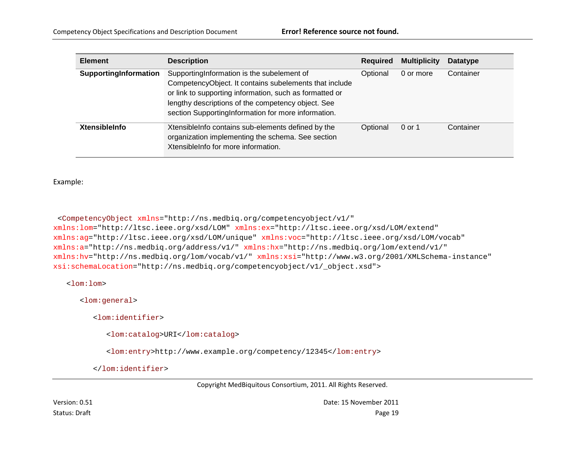| <b>Element</b>        | <b>Description</b>                                                                                                                                                                                                                                                            | <b>Required</b> | <b>Multiplicity</b> | <b>Datatype</b> |
|-----------------------|-------------------------------------------------------------------------------------------------------------------------------------------------------------------------------------------------------------------------------------------------------------------------------|-----------------|---------------------|-----------------|
| SupportingInformation | Supporting Information is the subelement of<br>CompetencyObject. It contains subelements that include<br>or link to supporting information, such as formatted or<br>lengthy descriptions of the competency object. See<br>section SupportingInformation for more information. | Optional        | 0 or more           | Container       |
| <b>XtensibleInfo</b>  | XtensibleInfo contains sub-elements defined by the<br>organization implementing the schema. See section<br>Xtensible Info for more information.                                                                                                                               | Optional        | $0$ or 1            | Container       |

Example:

<CompetencyObject xmlns="http://ns.medbiq.org/competencyobject/v1/" xmlns:lom="http://ltsc.ieee.org/xsd/LOM" xmlns:ex="http://ltsc.ieee.org/xsd/LOM/extend" xmlns:ag="http://ltsc.ieee.org/xsd/LOM/unique" xmlns:voc="http://ltsc.ieee.org/xsd/LOM/vocab" xmlns:a="http://ns.medbiq.org/address/v1/" xmlns:hx="http://ns.medbiq.org/lom/extend/v1/" xmlns:hv="http://ns.medbiq.org/lom/vocab/v1/" xmlns:xsi="http://www.w3.org/2001/XMLSchema-instance" xsi:schemaLocation="http://ns.medbiq.org/competencyobject/v1/\_object.xsd">

<lom:lom>

<lom:general>

<lom:identifier>

<lom:catalog>URI</lom:catalog>

<lom:entry>http://www.example.org/competency/12345</lom:entry>

</lom:identifier>

Copyright MedBiquitous Consortium, 2011. All Rights Reserved.

Version: 0.51 Date: 15 November 2011 Status: Draft Page 19 November 2012 19:00 November 2013 19:00 November 2013 19:00 November 2013 19:00 November 2013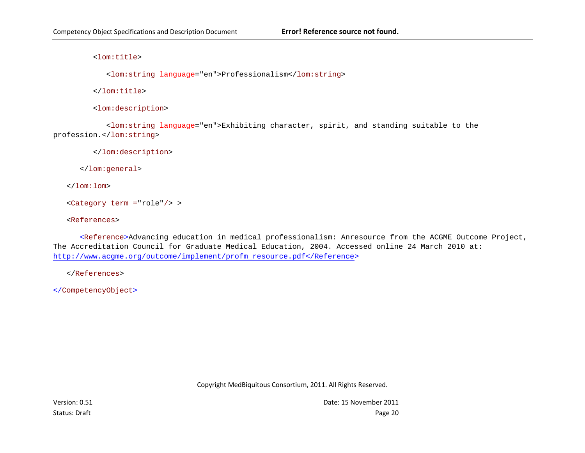<lom:title>

<lom:string language="en">Professionalism</lom:string>

</lom:title>

<lom:description>

<lom:string language="en">Exhibiting character, spirit, and standing suitable to the profession.</lom:string>

</lom:description>

</lom:general>

</lom:lom>

<Category term ="role"/> >

<References>

<Reference>Advancing education in medical professionalism: Anresource from the ACGME Outcome Project, The Accreditation Council for Graduate Medical Education, 2004. Accessed online 24 March 2010 at: [http://www.acgme.org/outcome/implement/profm\\_resource.pdf</Reference>](http://www.acgme.org/outcome/implement/profm_resource.pdf%3c/Reference)

</References>

</CompetencyObject>

Copyright MedBiquitous Consortium, 2011. All Rights Reserved.

Version: 0.51 Date: 15 November 2011 Status: Draft Page 20 Page 20 Page 20 Page 20 Page 20 Page 20 Page 20 Page 20 Page 20 Page 20 Page 20 Page 20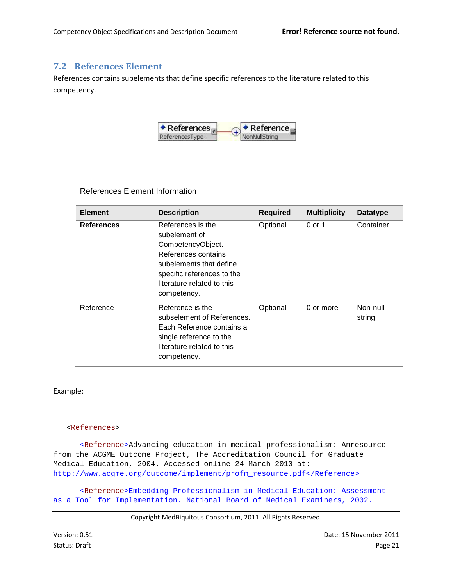#### <span id="page-20-0"></span>**7.2 References Element**

References contains subelements that define specific references to the literature related to this competency.



References Element Information

| <b>Element</b>    | <b>Description</b>                                                                                                                                                                   | <b>Required</b> | <b>Multiplicity</b> | Datatype           |
|-------------------|--------------------------------------------------------------------------------------------------------------------------------------------------------------------------------------|-----------------|---------------------|--------------------|
| <b>References</b> | References is the<br>subelement of<br>CompetencyObject.<br>References contains<br>subelements that define<br>specific references to the<br>literature related to this<br>competency. | Optional        | 0 or 1              | Container          |
| Reference         | Reference is the<br>subselement of References.<br>Each Reference contains a<br>single reference to the<br>literature related to this<br>competency.                                  | Optional        | 0 or more           | Non-null<br>string |

Example:

#### <References>

<Reference>Advancing education in medical professionalism: Anresource from the ACGME Outcome Project, The Accreditation Council for Graduate Medical Education, 2004. Accessed online 24 March 2010 at: [http://www.acgme.org/outcome/implement/profm\\_resource.pdf</Reference>](http://www.acgme.org/outcome/implement/profm_resource.pdf%3c/Reference)

<Reference>Embedding Professionalism in Medical Education: Assessment as a Tool for Implementation. National Board of Medical Examiners, 2002.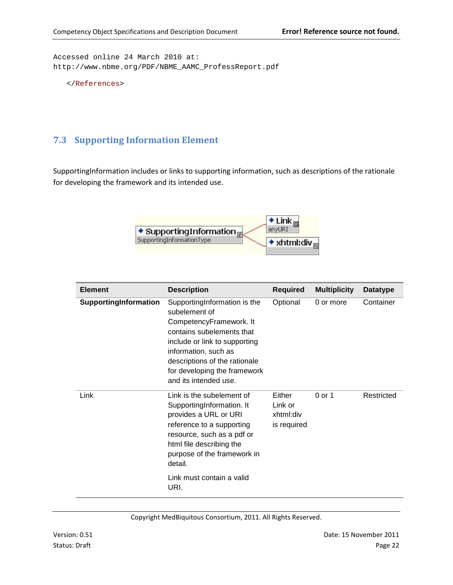Accessed online 24 March 2010 at: http://www.nbme.org/PDF/NBME\_AAMC\_ProfessReport.pdf

```
</References>
```
#### <span id="page-21-0"></span>**7.3 Supporting Information Element**

SupportingInformation includes or links to supporting information, such as descriptions of the rationale for developing the framework and its intended use.



| <b>Element</b>        | <b>Description</b>                                                                                                                                                                                                                                       | <b>Required</b>                               | <b>Multiplicity</b> | <b>Datatype</b> |
|-----------------------|----------------------------------------------------------------------------------------------------------------------------------------------------------------------------------------------------------------------------------------------------------|-----------------------------------------------|---------------------|-----------------|
| SupportingInformation | SupportingInformation is the<br>subelement of<br>CompetencyFramework. It<br>contains subelements that<br>include or link to supporting<br>information, such as<br>descriptions of the rationale<br>for developing the framework<br>and its intended use. | Optional                                      | 0 or more           | Container       |
| Link                  | Link is the subelement of<br>SupportingInformation. It<br>provides a URL or URI<br>reference to a supporting<br>resource, such as a pdf or<br>html file describing the<br>purpose of the framework in<br>detail.<br>Link must contain a valid<br>URI.    | Either<br>Link or<br>xhtml:div<br>is required | $0$ or 1            | Restricted      |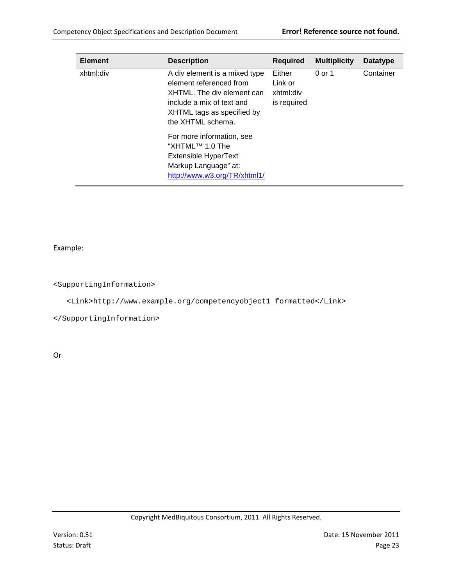| <b>Element</b> | <b>Description</b>                                                                                                                                                     | <b>Required</b>                               | <b>Multiplicity</b> | Datatype  |
|----------------|------------------------------------------------------------------------------------------------------------------------------------------------------------------------|-----------------------------------------------|---------------------|-----------|
| xhtml:div      | A div element is a mixed type<br>element referenced from<br>XHTML. The div element can<br>include a mix of text and<br>XHTML tags as specified by<br>the XHTML schema. | Either<br>Link or<br>xhtml:div<br>is required | 0 or 1              | Container |
|                | For more information, see<br>"XHTML™ 1.0 The<br>Extensible HyperText<br>Markup Language" at:<br>http://www.w3.org/TR/xhtml1/                                           |                                               |                     |           |

Example:

<SupportingInformation>

<Link>http://www.example.org/competencyobject1\_formatted</Link>

</SupportingInformation>

Or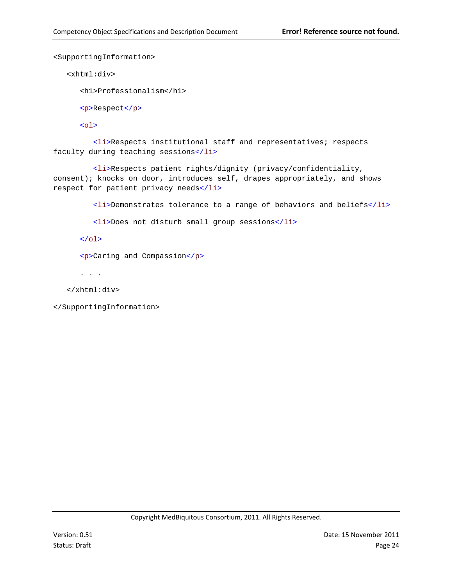```
<SupportingInformation>
```
<xhtml:div>

```
<h1>Professionalism</h1>
```
<p>Respect</p>

 $<sub>ol</sub>$ </sub>

<li>Respects institutional staff and representatives; respects faculty during teaching sessions</li>

<li>Respects patient rights/dignity (privacy/confidentiality, consent); knocks on door, introduces self, drapes appropriately, and shows respect for patient privacy needs</li>

<li>Demonstrates tolerance to a range of behaviors and beliefs</li>

<li>Does not disturb small group sessions</li>

 $\langle$ ol>

<p>Caring and Compassion</p>

. . .

</xhtml:div>

</SupportingInformation>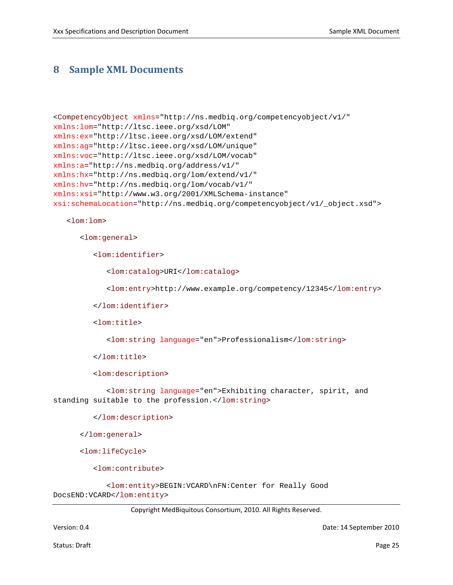#### <span id="page-24-0"></span>**8 Sample XML Documents**

```
<CompetencyObject xmlns="http://ns.medbiq.org/competencyobject/v1/"
xmlns:lom="http://ltsc.ieee.org/xsd/LOM"
xmlns:ex="http://ltsc.ieee.org/xsd/LOM/extend"
xmlns:ag="http://ltsc.ieee.org/xsd/LOM/unique"
xmlns:voc="http://ltsc.ieee.org/xsd/LOM/vocab"
xmlns:a="http://ns.medbiq.org/address/v1/"
xmlns:hx="http://ns.medbiq.org/lom/extend/v1/"
xmlns:hv="http://ns.medbiq.org/lom/vocab/v1/"
xmlns:xsi="http://www.w3.org/2001/XMLSchema-instance"
xsi:schemaLocation="http://ns.medbiq.org/competencyobject/v1/_object.xsd">
```
<lom:lom>

<lom:general>

<lom:identifier>

<lom:catalog>URI</lom:catalog>

<lom:entry>http://www.example.org/competency/12345</lom:entry>

```
</lom:identifier>
```
<lom:title>

<lom:string language="en">Professionalism</lom:string>

</lom:title>

<lom:description>

<lom:string language="en">Exhibiting character, spirit, and standing suitable to the profession.</lom:string>

</lom:description>

</lom:general>

<lom:lifeCycle>

<lom:contribute>

<lom:entity>BEGIN:VCARD\nFN:Center for Really Good DocsEND:VCARD</lom:entity>

Copyright MedBiquitous Consortium, 2010. All Rights Reserved.

Version: 0.4 Date: 14 September 2010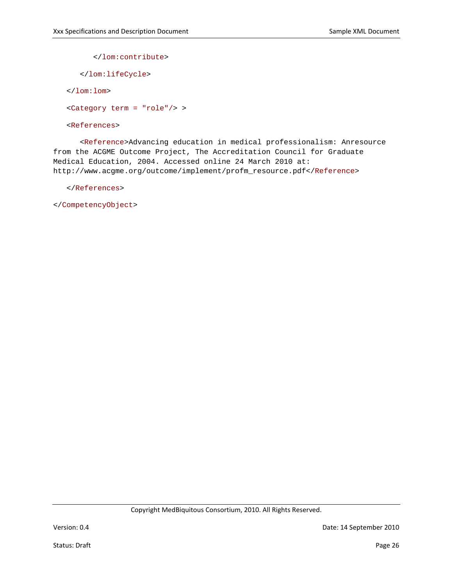</lom:contribute>

</lom:lifeCycle>

</lom:lom>

<Category term = "role"/> >

<References>

<Reference>Advancing education in medical professionalism: Anresource from the ACGME Outcome Project, The Accreditation Council for Graduate Medical Education, 2004. Accessed online 24 March 2010 at: http://www.acgme.org/outcome/implement/profm\_resource.pdf</Reference>

</References>

</CompetencyObject>